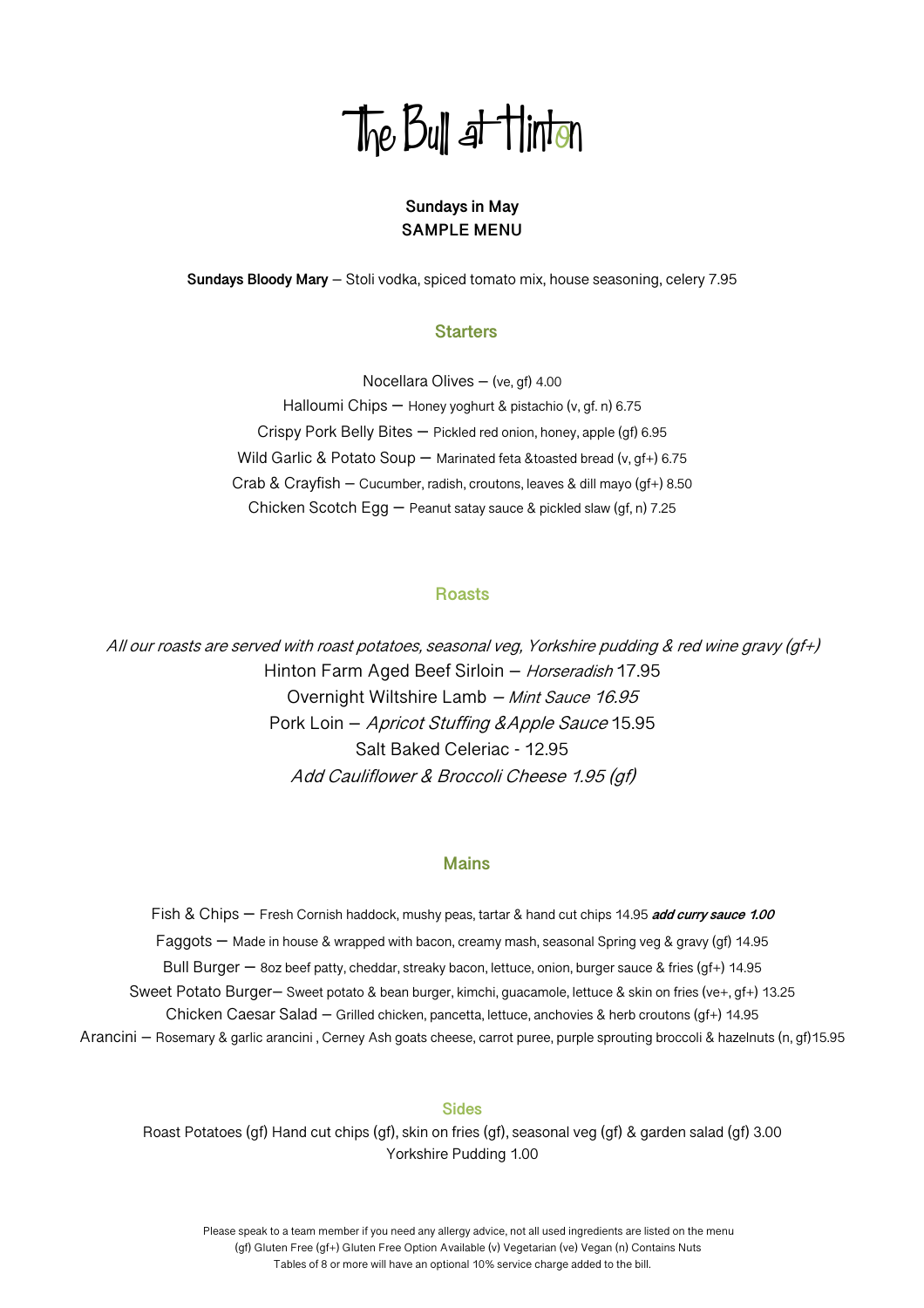# The Bull at Hinton

# **Sundays in May SAMPLE MENU**

**Sundays Bloody Mary** – Stoli vodka, spiced tomato mix, house seasoning, celery 7.95

# **Starters**

Nocellara Olives – (ve, gf) 4.00 Halloumi Chips – Honey yoghurt & pistachio (v, gf. n) 6.75 Crispy Pork Belly Bites – Pickled red onion, honey, apple (gf) 6.95 Wild Garlic & Potato Soup - Marinated feta &toasted bread (v, gf+) 6.75 Crab & Crayfish – Cucumber, radish, croutons, leaves & dill mayo (gf+) 8.50 Chicken Scotch Egg – Peanut satay sauce & pickled slaw (gf, n) 7.25

## **Roasts**

All our roasts are served with roast potatoes, seasonal veg, Yorkshire pudding & red wine gravy (gf+) Hinton Farm Aged Beef Sirloin - Horseradish 17.95 Overnight Wiltshire Lamb – Mint Sauce 16.95 Pork Loin – Apricot Stuffing &Apple Sauce 15.95 Salt Baked Celeriac - 12.95 Add Cauliflower & Broccoli Cheese 1.95 (gf)

# **Mains**

Fish & Chips – Fresh Cornish haddock, mushy peas, tartar & hand cut chips 14.95 **add curry sauce 1.00** Faggots – Made in house & wrapped with bacon, creamy mash, seasonal Spring veg & gravy (gf) 14.95 Bull Burger – 8oz beef patty, cheddar, streaky bacon, lettuce, onion, burger sauce & fries (gf+) 14.95 Sweet Potato Burger– Sweet potato & bean burger, kimchi, guacamole, lettuce & skin on fries (ve+, gf+) 13.25 Chicken Caesar Salad – Grilled chicken, pancetta, lettuce, anchovies & herb croutons (gf+) 14.95 Arancini – Rosemary & garlic arancini , Cerney Ash goats cheese, carrot puree, purple sprouting broccoli & hazelnuts (n, gf)15.95

#### **Sides**

Roast Potatoes (gf) Hand cut chips (gf), skin on fries (gf), seasonal veg (gf) & garden salad (gf) 3.00 Yorkshire Pudding 1.00

 Please speak to a team member if you need any allergy advice, not all used ingredients are listed on the menu (gf) Gluten Free (gf+) Gluten Free Option Available (v) Vegetarian (ve) Vegan (n) Contains Nuts Tables of 8 or more will have an optional 10% service charge added to the bill.